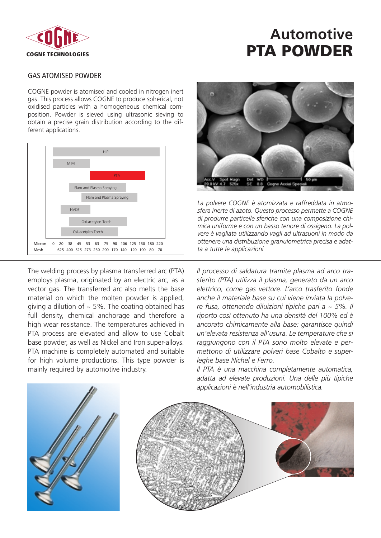

## **Automotive PTA POWDER**

#### GAS ATOMISED POWDER

COGNE powder is atomised and cooled in nitrogen inert gas. This process allows COGNE to produce spherical, not oxidised particles with a homogeneous chemical composition. Powder is sieved using ultrasonic sieving to obtain a precise grain distribution according to the different applications.



The welding process by plasma transferred arc (PTA) employs plasma, originated by an electric arc, as a vector gas. The transferred arc also melts the base material on which the molten powder is applied, giving a dilution of  $\sim$  5%. The coating obtained has full density, chemical anchorage and therefore a high wear resistance. The temperatures achieved in PTA process are elevated and allow to use Cobalt base powder, as well as Nickel and Iron super-alloys. PTA machine is completely automated and suitable for high volume productions. This type powder is mainly required by automotive industry.



*La polvere COGNE è atomizzata e raffreddata in atmosfera inerte di azoto. Questo processo permette a COGNE di produrre particelle sferiche con una composizione chimica uniforme e con un basso tenore di ossigeno. La polvere è vagliata utilizzando vagli ad ultrasuoni in modo da ottenere una distribuzione granulometrica precisa e adatta a tutte le applicazioni*

*Il processo di saldatura tramite plasma ad arco trasferito (PTA) utilizza il plasma, generato da un arco elettrico, come gas vettore. L'arco trasferito fonde anche il materiale base su cui viene inviata la polvere fusa, ottenendo diluizioni tipiche pari a ~ 5%. Il riporto così ottenuto ha una densità del 100% ed è ancorato chimicamente alla base: garantisce quindi un'elevata resistenza all'usura. Le temperature che si raggiungono con il PTA sono molto elevate e permettono di utilizzare polveri base Cobalto e superleghe base Nichel e Ferro.* 

*Il PTA è una macchina completamente automatica, adatta ad elevate produzioni. Una delle più tipiche applicazioni è nell'industria automobilistica.*